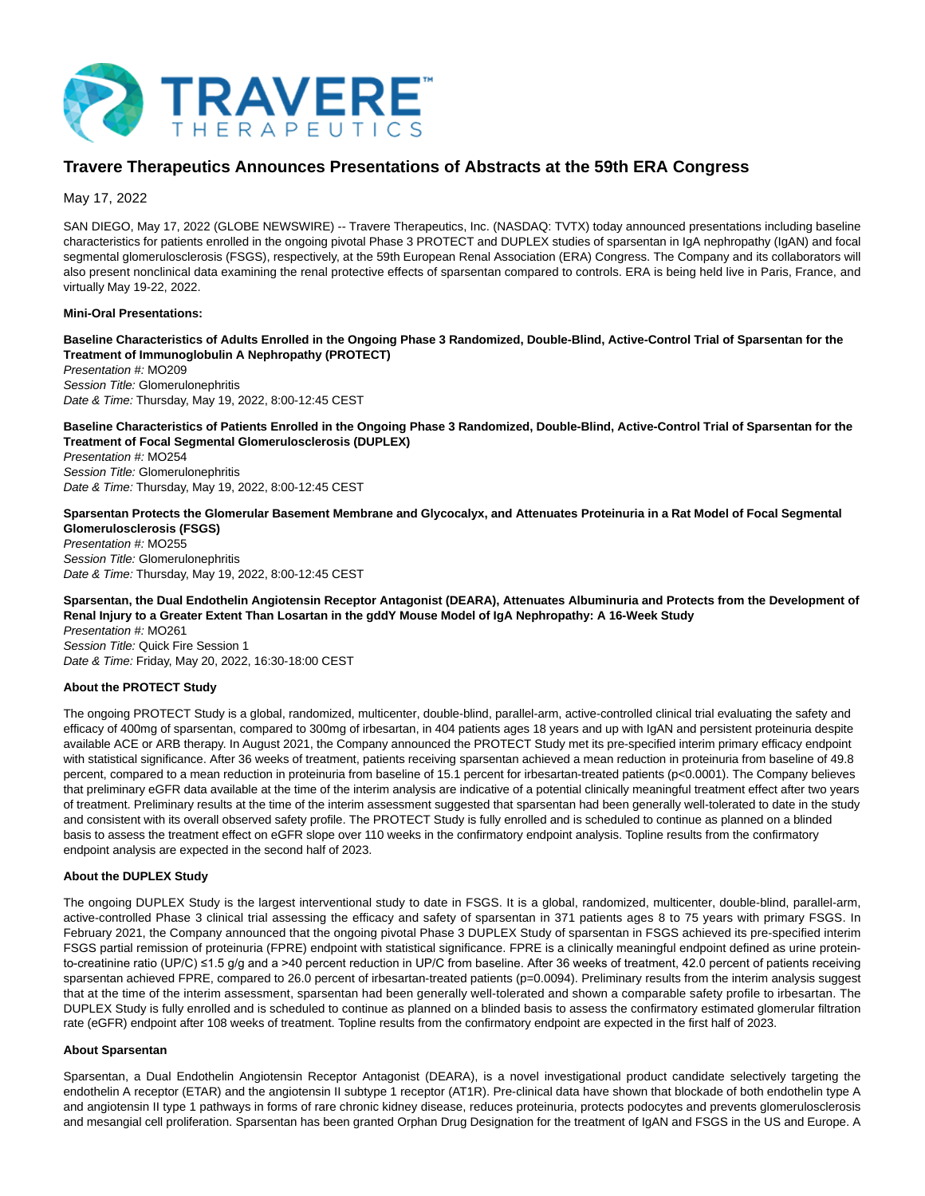

# **Travere Therapeutics Announces Presentations of Abstracts at the 59th ERA Congress**

May 17, 2022

SAN DIEGO, May 17, 2022 (GLOBE NEWSWIRE) -- Travere Therapeutics, Inc. (NASDAQ: TVTX) today announced presentations including baseline characteristics for patients enrolled in the ongoing pivotal Phase 3 PROTECT and DUPLEX studies of sparsentan in IgA nephropathy (IgAN) and focal segmental glomerulosclerosis (FSGS), respectively, at the 59th European Renal Association (ERA) Congress. The Company and its collaborators will also present nonclinical data examining the renal protective effects of sparsentan compared to controls. ERA is being held live in Paris, France, and virtually May 19-22, 2022.

## **Mini-Oral Presentations:**

**Baseline Characteristics of Adults Enrolled in the Ongoing Phase 3 Randomized, Double-Blind, Active-Control Trial of Sparsentan for the Treatment of Immunoglobulin A Nephropathy (PROTECT)**

Presentation #: MO209 Session Title: Glomerulonephritis Date & Time: Thursday, May 19, 2022, 8:00-12:45 CEST

**Baseline Characteristics of Patients Enrolled in the Ongoing Phase 3 Randomized, Double-Blind, Active-Control Trial of Sparsentan for the Treatment of Focal Segmental Glomerulosclerosis (DUPLEX)** Presentation #: MO254 Session Title: Glomerulonephritis

Date & Time: Thursday, May 19, 2022, 8:00-12:45 CEST

**Sparsentan Protects the Glomerular Basement Membrane and Glycocalyx, and Attenuates Proteinuria in a Rat Model of Focal Segmental Glomerulosclerosis (FSGS)**

Presentation #: MO255 Session Title: Glomerulonephritis Date & Time: Thursday, May 19, 2022, 8:00-12:45 CEST

**Sparsentan, the Dual Endothelin Angiotensin Receptor Antagonist (DEARA), Attenuates Albuminuria and Protects from the Development of Renal Injury to a Greater Extent Than Losartan in the gddY Mouse Model of IgA Nephropathy: A 16-Week Study** Presentation #: MO261 Session Title: Quick Fire Session 1

Date & Time: Friday, May 20, 2022, 16:30-18:00 CEST

## **About the PROTECT Study**

The ongoing PROTECT Study is a global, randomized, multicenter, double-blind, parallel-arm, active-controlled clinical trial evaluating the safety and efficacy of 400mg of sparsentan, compared to 300mg of irbesartan, in 404 patients ages 18 years and up with IgAN and persistent proteinuria despite available ACE or ARB therapy. In August 2021, the Company announced the PROTECT Study met its pre-specified interim primary efficacy endpoint with statistical significance. After 36 weeks of treatment, patients receiving sparsentan achieved a mean reduction in proteinuria from baseline of 49.8 percent, compared to a mean reduction in proteinuria from baseline of 15.1 percent for irbesartan-treated patients (p<0.0001). The Company believes that preliminary eGFR data available at the time of the interim analysis are indicative of a potential clinically meaningful treatment effect after two years of treatment. Preliminary results at the time of the interim assessment suggested that sparsentan had been generally well-tolerated to date in the study and consistent with its overall observed safety profile. The PROTECT Study is fully enrolled and is scheduled to continue as planned on a blinded basis to assess the treatment effect on eGFR slope over 110 weeks in the confirmatory endpoint analysis. Topline results from the confirmatory endpoint analysis are expected in the second half of 2023.

#### **About the DUPLEX Study**

The ongoing DUPLEX Study is the largest interventional study to date in FSGS. It is a global, randomized, multicenter, double-blind, parallel-arm, active-controlled Phase 3 clinical trial assessing the efficacy and safety of sparsentan in 371 patients ages 8 to 75 years with primary FSGS. In February 2021, the Company announced that the ongoing pivotal Phase 3 DUPLEX Study of sparsentan in FSGS achieved its pre-specified interim FSGS partial remission of proteinuria (FPRE) endpoint with statistical significance. FPRE is a clinically meaningful endpoint defined as urine proteinto-creatinine ratio (UP/C) ≤1.5 g/g and a >40 percent reduction in UP/C from baseline. After 36 weeks of treatment, 42.0 percent of patients receiving sparsentan achieved FPRE, compared to 26.0 percent of irbesartan-treated patients (p=0.0094). Preliminary results from the interim analysis suggest that at the time of the interim assessment, sparsentan had been generally well-tolerated and shown a comparable safety profile to irbesartan. The DUPLEX Study is fully enrolled and is scheduled to continue as planned on a blinded basis to assess the confirmatory estimated glomerular filtration rate (eGFR) endpoint after 108 weeks of treatment. Topline results from the confirmatory endpoint are expected in the first half of 2023.

#### **About Sparsentan**

Sparsentan, a Dual Endothelin Angiotensin Receptor Antagonist (DEARA), is a novel investigational product candidate selectively targeting the endothelin A receptor (ETAR) and the angiotensin II subtype 1 receptor (AT1R). Pre-clinical data have shown that blockade of both endothelin type A and angiotensin II type 1 pathways in forms of rare chronic kidney disease, reduces proteinuria, protects podocytes and prevents glomerulosclerosis and mesangial cell proliferation. Sparsentan has been granted Orphan Drug Designation for the treatment of IgAN and FSGS in the US and Europe. A